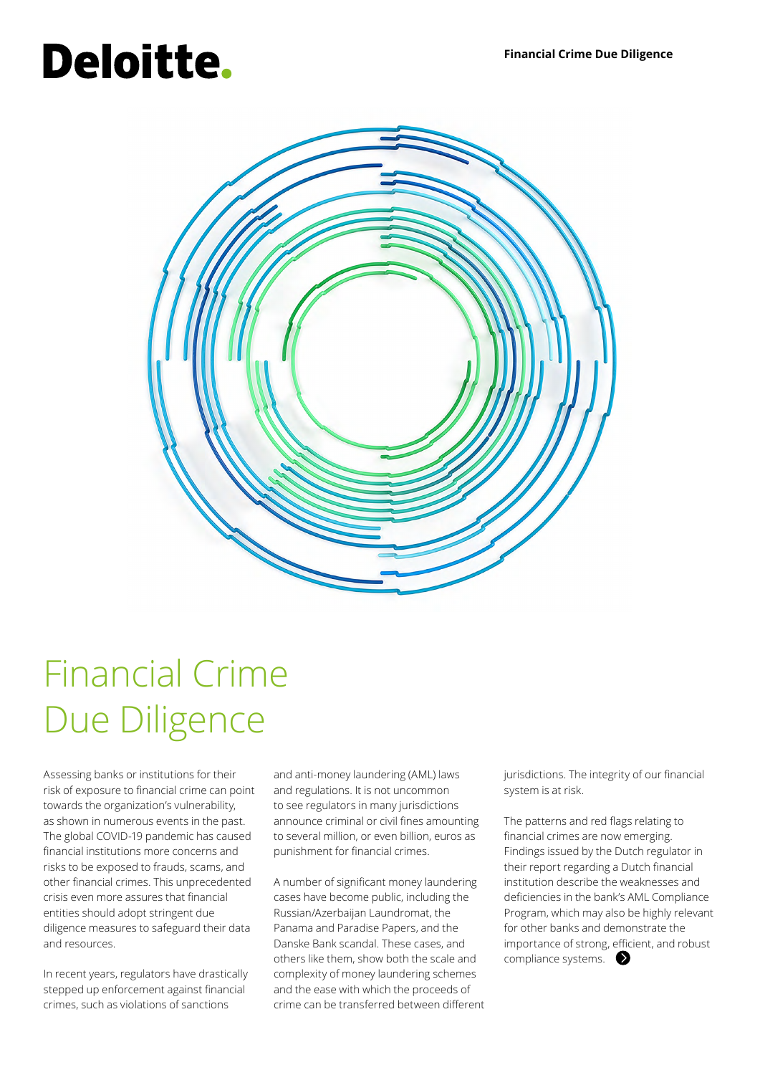# Deloitte.



### Financial Crime Due Diligence

Assessing banks or institutions for their risk of exposure to financial crime can point towards the organization's vulnerability, as shown in numerous events in the past. The global COVID-19 pandemic has caused financial institutions more concerns and risks to be exposed to frauds, scams, and other financial crimes. This unprecedented crisis even more assures that financial entities should adopt stringent due diligence measures to safeguard their data and resources.

In recent years, regulators have drastically stepped up enforcement against financial crimes, such as violations of sanctions

and anti-money laundering (AML) laws and regulations. It is not uncommon to see regulators in many jurisdictions announce criminal or civil fines amounting to several million, or even billion, euros as punishment for financial crimes.

A number of significant money laundering cases have become public, including the Russian/Azerbaijan Laundromat, the Panama and Paradise Papers, and the Danske Bank scandal. These cases, and others like them, show both the scale and complexity of money laundering schemes and the ease with which the proceeds of crime can be transferred between different jurisdictions. The integrity of our financial system is at risk.

The patterns and red flags relating to financial crimes are now emerging. Findings issued by the Dutch regulator in their report regarding a Dutch financial institution describe the weaknesses and deficiencies in the bank's AML Compliance Program, which may also be highly relevant for other banks and demonstrate the importance of strong, efficient, and robust compliance systems.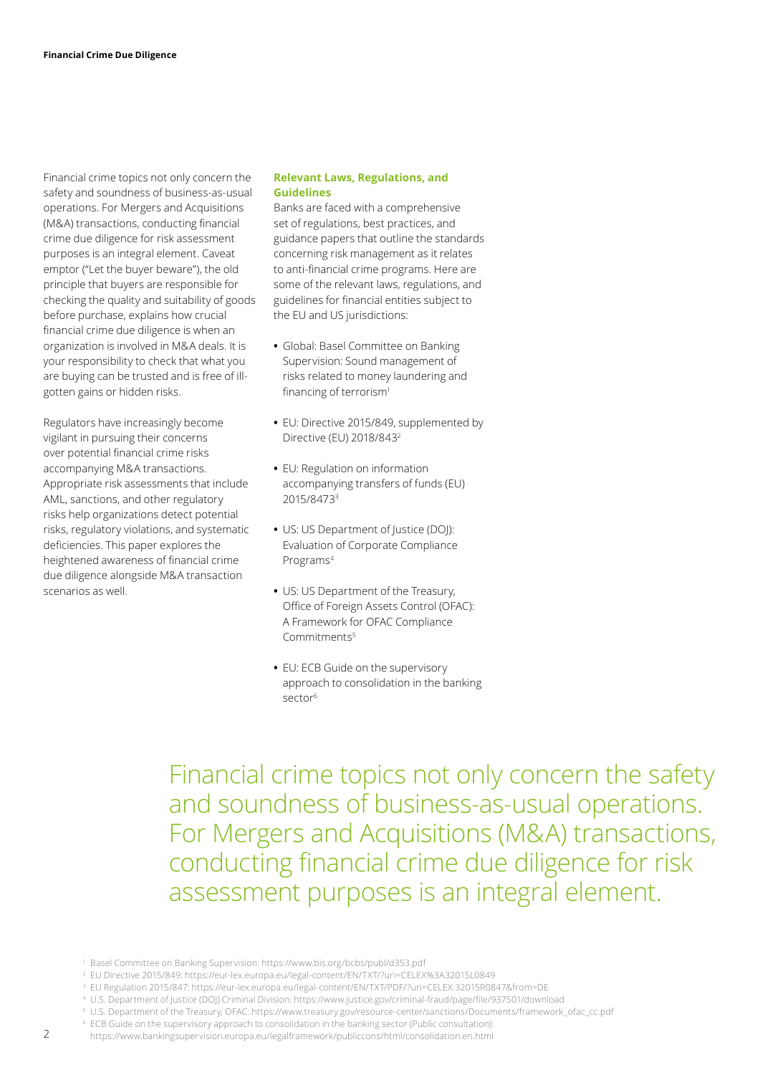Financial crime topics not only concern the safety and soundness of business-as-usual operations. For Mergers and Acquisitions (M&A) transactions, conducting financial crime due diligence for risk assessment purposes is an integral element. Caveat emptor ("Let the buyer beware"), the old principle that buyers are responsible for checking the quality and suitability of goods before purchase, explains how crucial financial crime due diligence is when an organization is involved in M&A deals. It is your responsibility to check that what you are buying can be trusted and is free of illgotten gains or hidden risks.

Regulators have increasingly become vigilant in pursuing their concerns over potential financial crime risks accompanying M&A transactions. Appropriate risk assessments that include AML, sanctions, and other regulatory risks help organizations detect potential risks, regulatory violations, and systematic deficiencies. This paper explores the heightened awareness of financial crime due diligence alongside M&A transaction scenarios as well.

#### **Relevant Laws, Regulations, and Guidelines**

Banks are faced with a comprehensive set of regulations, best practices, and guidance papers that outline the standards concerning risk management as it relates to anti-financial crime programs. Here are some of the relevant laws, regulations, and guidelines for financial entities subject to the EU and US jurisdictions:

- **•** Global: Basel Committee on Banking Supervision: Sound management of risks related to money laundering and financing of terrorism<sup>1</sup>
- **•** EU: Directive 2015/849, supplemented by Directive (EU) 2018/843<sup>2</sup>
- **•** EU: Regulation on information accompanying transfers of funds (EU) 2015/84733
- **•** US: US Department of Justice (DOJ): Evaluation of Corporate Compliance Programs4
- **•** US: US Department of the Treasury, Office of Foreign Assets Control (OFAC): A Framework for OFAC Compliance Commitments5
- **•** EU: ECB Guide on the supervisory approach to consolidation in the banking sector<sup>6</sup>

Financial crime topics not only concern the safety and soundness of business-as-usual operations. For Mergers and Acquisitions (M&A) transactions, conducting financial crime due diligence for risk assessment purposes is an integral element.

5 U.S. Department of the Treasury, OFAC: https://www.treasury.gov/resource-center/sanctions/Documents/framework\_ofac\_cc.pdf

<sup>1</sup> Basel Committee on Banking Supervision: https://www.bis.org/bcbs/publ/d353.pdf

<sup>2</sup> EU Directive 2015/849: https://eur-lex.europa.eu/legal-content/EN/TXT/?uri=CELEX%3A32015L0849

<sup>3</sup> EU Regulation 2015/847: https://eur-lex.europa.eu/legal-content/EN/TXT/PDF/?uri=CELEX:32015R0847&from=DE

<sup>4</sup> U.S. Department of Justice (DOJ) Criminal Division: https://www.justice.gov/criminal-fraud/page/file/937501/download

<sup>&</sup>lt;sup>6</sup> ECB Guide on the supervisory approach to consolidation in the banking sector (Public consultation): https://www.bankingsupervision.europa.eu/legalframework/publiccons/html/consolidation.en.html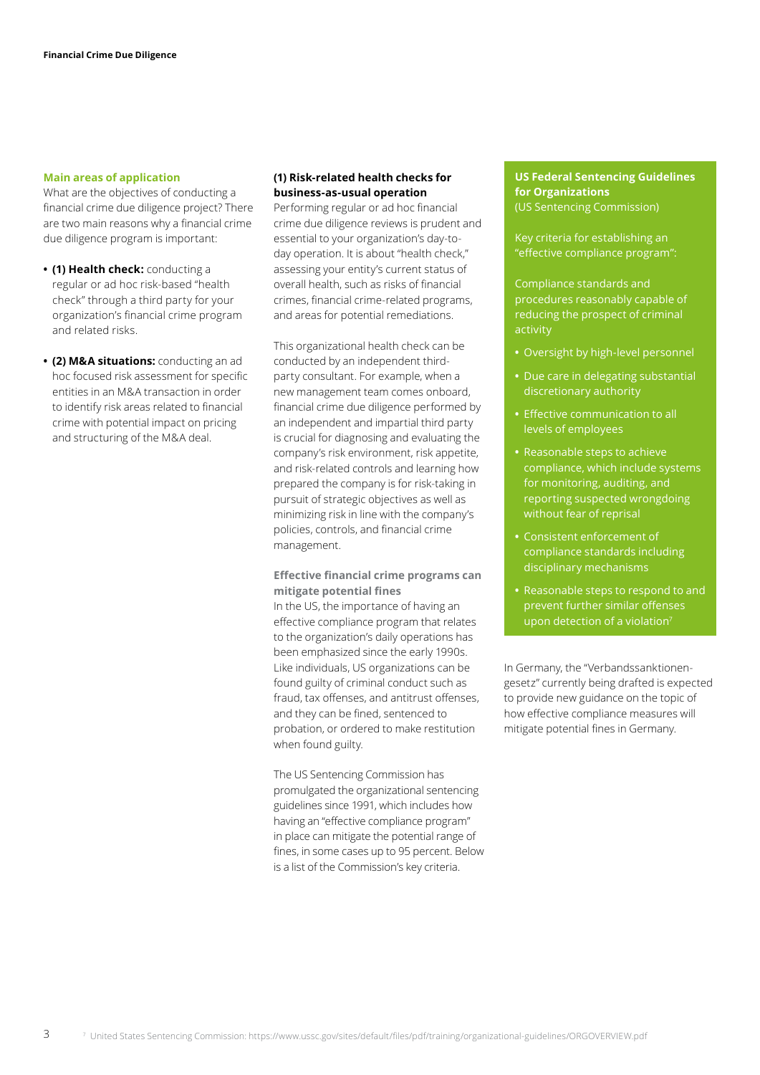#### **Main areas of application**

What are the objectives of conducting a financial crime due diligence project? There are two main reasons why a financial crime due diligence program is important:

- **• (1) Health check:** conducting a regular or ad hoc risk-based "health check" through a third party for your organization's financial crime program and related risks.
- **• (2) M&A situations:** conducting an ad hoc focused risk assessment for specific entities in an M&A transaction in order to identify risk areas related to financial crime with potential impact on pricing and structuring of the M&A deal.

#### **(1) Risk-related health checks for business-as-usual operation**

Performing regular or ad hoc financial crime due diligence reviews is prudent and essential to your organization's day-today operation. It is about "health check," assessing your entity's current status of overall health, such as risks of financial crimes, financial crime-related programs, and areas for potential remediations.

This organizational health check can be conducted by an independent thirdparty consultant. For example, when a new management team comes onboard, financial crime due diligence performed by an independent and impartial third party is crucial for diagnosing and evaluating the company's risk environment, risk appetite, and risk-related controls and learning how prepared the company is for risk-taking in pursuit of strategic objectives as well as minimizing risk in line with the company's policies, controls, and financial crime management.

#### **Effective financial crime programs can mitigate potential fines**

In the US, the importance of having an effective compliance program that relates to the organization's daily operations has been emphasized since the early 1990s. Like individuals, US organizations can be found guilty of criminal conduct such as fraud, tax offenses, and antitrust offenses, and they can be fined, sentenced to probation, or ordered to make restitution when found guilty.

The US Sentencing Commission has promulgated the organizational sentencing guidelines since 1991, which includes how having an "effective compliance program" in place can mitigate the potential range of fines, in some cases up to 95 percent. Below is a list of the Commission's key criteria.

#### **US Federal Sentencing Guidelines for Organizations** (US Sentencing Commission)

Key criteria for establishing an "effective compliance program":

Compliance standards and procedures reasonably capable of reducing the prospect of criminal activity

- **•** Oversight by high-level personnel
- **•** Due care in delegating substantial discretionary authority
- **•** Effective communication to all levels of employees
- **•** Reasonable steps to achieve compliance, which include systems for monitoring, auditing, and reporting suspected wrongdoing without fear of reprisal
- **•** Consistent enforcement of compliance standards including disciplinary mechanisms
- **•** Reasonable steps to respond to and prevent further similar offenses upon detection of a violation $7$

In Germany, the "Verbandssanktionengesetz" currently being drafted is expected to provide new guidance on the topic of how effective compliance measures will mitigate potential fines in Germany.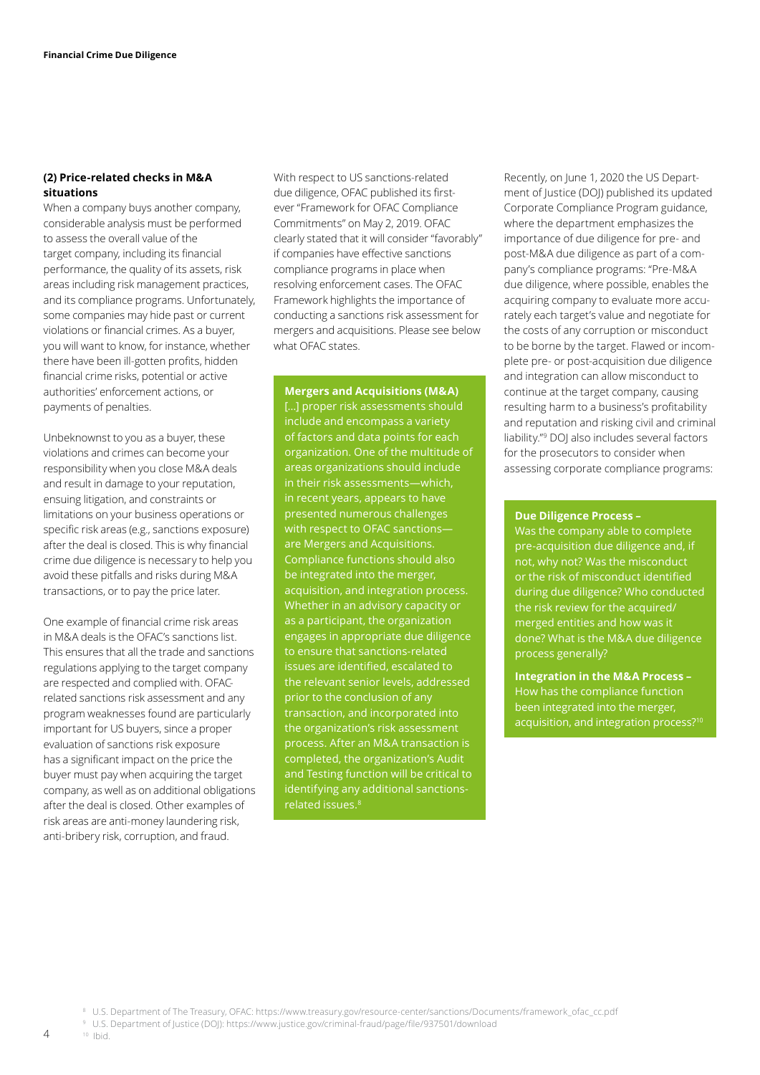#### **(2) Price-related checks in M&A situations**

When a company buys another company, considerable analysis must be performed to assess the overall value of the target company, including its financial performance, the quality of its assets, risk areas including risk management practices, and its compliance programs. Unfortunately, some companies may hide past or current violations or financial crimes. As a buyer, you will want to know, for instance, whether there have been ill-gotten profits, hidden financial crime risks, potential or active authorities' enforcement actions, or payments of penalties.

Unbeknownst to you as a buyer, these violations and crimes can become your responsibility when you close M&A deals and result in damage to your reputation, ensuing litigation, and constraints or limitations on your business operations or specific risk areas (e.g., sanctions exposure) after the deal is closed. This is why financial crime due diligence is necessary to help you avoid these pitfalls and risks during M&A transactions, or to pay the price later.

One example of financial crime risk areas in M&A deals is the OFAC's sanctions list. This ensures that all the trade and sanctions regulations applying to the target company are respected and complied with. OFACrelated sanctions risk assessment and any program weaknesses found are particularly important for US buyers, since a proper evaluation of sanctions risk exposure has a significant impact on the price the buyer must pay when acquiring the target company, as well as on additional obligations after the deal is closed. Other examples of risk areas are anti-money laundering risk, anti-bribery risk, corruption, and fraud.

With respect to US sanctions-related due diligence, OFAC published its firstever "Framework for OFAC Compliance Commitments" on May 2, 2019. OFAC clearly stated that it will consider "favorably" if companies have effective sanctions compliance programs in place when resolving enforcement cases. The OFAC Framework highlights the importance of conducting a sanctions risk assessment for mergers and acquisitions. Please see below what OFAC states.

#### **Mergers and Acquisitions (M&A)**

[…] proper risk assessments should include and encompass a variety of factors and data points for each organization. One of the multitude of areas organizations should include in their risk assessments—which, in recent years, appears to have presented numerous challenges with respect to OFAC sanctions are Mergers and Acquisitions. Compliance functions should also be integrated into the merger, acquisition, and integration process. Whether in an advisory capacity or as a participant, the organization engages in appropriate due diligence to ensure that sanctions-related issues are identified, escalated to the relevant senior levels, addressed prior to the conclusion of any transaction, and incorporated into the organization's risk assessment process. After an M&A transaction is completed, the organization's Audit and Testing function will be critical to identifying any additional sanctionsrelated issues.<sup>8</sup>

Recently, on June 1, 2020 the US Department of Justice (DOI) published its updated Corporate Compliance Program guidance, where the department emphasizes the importance of due diligence for pre- and post-M&A due diligence as part of a company's compliance programs: "Pre-M&A due diligence, where possible, enables the acquiring company to evaluate more accurately each target's value and negotiate for the costs of any corruption or misconduct to be borne by the target. Flawed or incomplete pre- or post-acquisition due diligence and integration can allow misconduct to continue at the target company, causing resulting harm to a business's profitability and reputation and risking civil and criminal liability."9 DOJ also includes several factors for the prosecutors to consider when assessing corporate compliance programs:

#### **Due Diligence Process –**

Was the company able to complete pre-acquisition due diligence and, if not, why not? Was the misconduct or the risk of misconduct identified during due diligence? Who conducted the risk review for the acquired/ merged entities and how was it done? What is the M&A due diligence process generally?

**Integration in the M&A Process –**  How has the compliance function been integrated into the merger, acquisition, and integration process?<sup>10</sup>

9 U.S. Department of Justice (DOJ): https://www.justice.gov/criminal-fraud/page/file/937501/download 10 Ibid.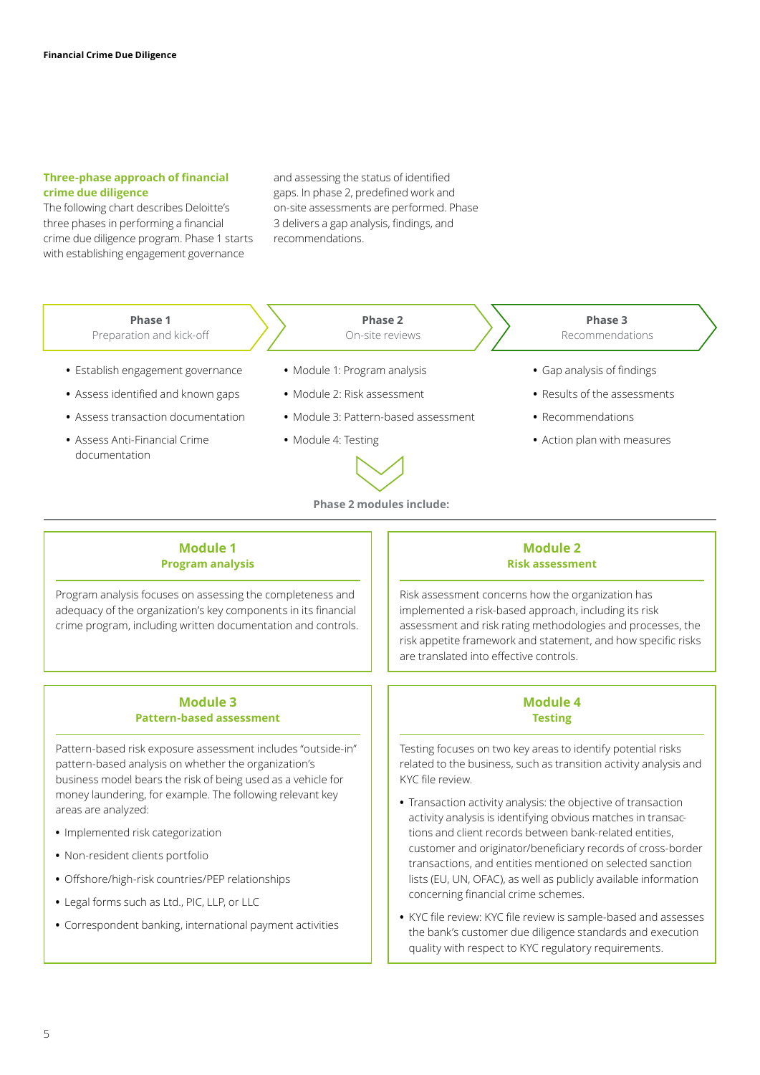#### **Three-phase approach of financial crime due diligence**

The following chart describes Deloitte's three phases in performing a financial crime due diligence program. Phase 1 starts with establishing engagement governance

and assessing the status of identified gaps. In phase 2, predefined work and on-site assessments are performed. Phase 3 delivers a gap analysis, findings, and recommendations.

| Phase 1<br>Preparation and kick-off | Phase 2<br>On-site reviews           | Phase 3<br>Recommendations   |
|-------------------------------------|--------------------------------------|------------------------------|
| • Establish engagement governance   | • Module 1: Program analysis         | • Gap analysis of findings   |
| • Assess identified and known gaps  | • Module 2: Risk assessment          | • Results of the assessments |
| • Assess transaction documentation  | • Module 3: Pattern-based assessment | • Recommendations            |
| • Assess Anti-Financial Crime       | • Module 4: Testing                  | • Action plan with measures  |
| documentation                       |                                      |                              |

**Phase 2 modules include:**

#### **Module 1 Program analysis**

Program analysis focuses on assessing the completeness and adequacy of the organization's key components in its financial crime program, including written documentation and controls.

#### **Module 3 Pattern-based assessment**

Pattern-based risk exposure assessment includes "outside-in" pattern-based analysis on whether the organization's business model bears the risk of being used as a vehicle for money laundering, for example. The following relevant key areas are analyzed:

- **•** Implemented risk categorization
- **•** Non-resident clients portfolio
- **•** Offshore/high-risk countries/PEP relationships
- **•** Legal forms such as Ltd., PIC, LLP, or LLC
- **•** Correspondent banking, international payment activities

#### **Module 2 Risk assessment**

Risk assessment concerns how the organization has implemented a risk-based approach, including its risk assessment and risk rating methodologies and processes, the risk appetite framework and statement, and how specific risks are translated into effective controls.

#### **Module 4 Testing**

Testing focuses on two key areas to identify potential risks related to the business, such as transition activity analysis and KYC file review.

- **•** Transaction activity analysis: the objective of transaction activity analysis is identifying obvious matches in transactions and client records between bank-related entities, customer and originator/beneficiary records of cross-border transactions, and entities mentioned on selected sanction lists (EU, UN, OFAC), as well as publicly available information concerning financial crime schemes.
- **•** KYC file review: KYC file review is sample-based and assesses the bank's customer due diligence standards and execution quality with respect to KYC regulatory requirements.